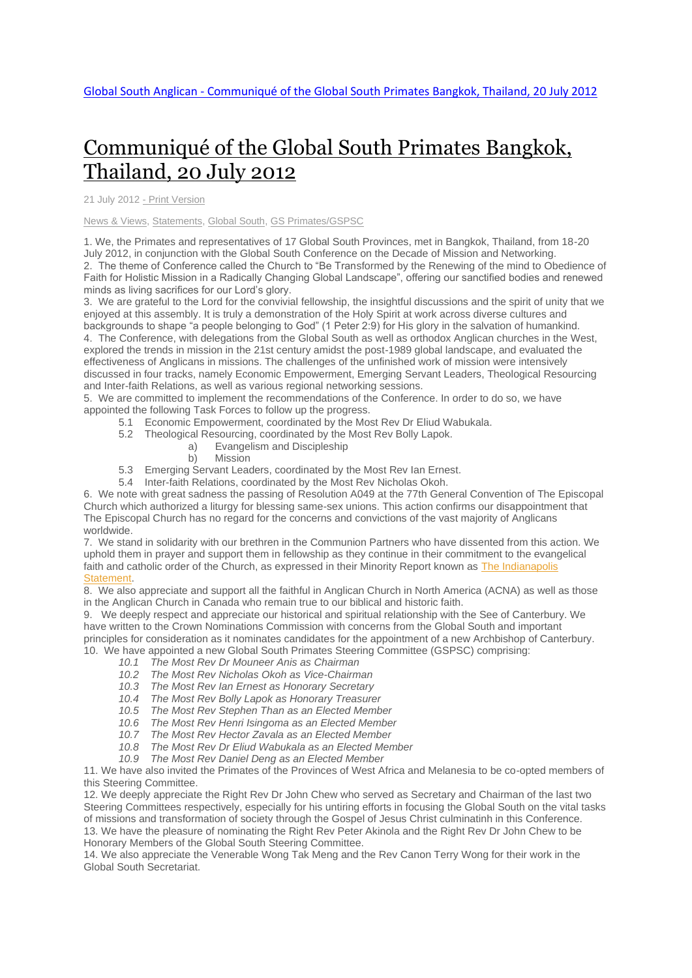## [Communiqué](http://www.globalsouthanglican.org/index.php/blog/comments/communique_of_the_global_south_primates_bangkok_thailand_20_july_2012) of the Global South Primates Bangkok, [Thailand,](http://www.globalsouthanglican.org/index.php/blog/comments/communique_of_the_global_south_primates_bangkok_thailand_20_july_2012) 20 July 2012

21 July 2012 - Print [Version](http://globalsouthanglican.org/index.php/blog/printing/communique_of_the_global_south_primates_bangkok_thailand_20_july_2012)

News & [Views,](http://globalsouthanglican.org/index.php/archives/category/news_views) [Statements,](http://globalsouthanglican.org/index.php/archives/category/statements) [Global](http://globalsouthanglican.org/index.php/archives/category/global_south) South, GS [Primates/GSPSC](http://globalsouthanglican.org/index.php/archives/category/gs_primates_gspsc)

1. We, the Primates and representatives of 17 Global South Provinces, met in Bangkok, Thailand, from 18-20 July 2012, in conjunction with the Global South Conference on the Decade of Mission and Networking. 2. The theme of Conference called the Church to "Be Transformed by the Renewing of the mind to Obedience of Faith for Holistic Mission in a Radically Changing Global Landscape", offering our sanctified bodies and renewed minds as living sacrifices for our Lord's glory.

3. We are grateful to the Lord for the convivial fellowship, the insightful discussions and the spirit of unity that we enjoyed at this assembly. It is truly a demonstration of the Holy Spirit at work across diverse cultures and backgrounds to shape "a people belonging to God" (1 Peter 2:9) for His glory in the salvation of humankind. 4. The Conference, with delegations from the Global South as well as orthodox Anglican churches in the West, explored the trends in mission in the 21st century amidst the post-1989 global landscape, and evaluated the effectiveness of Anglicans in missions. The challenges of the unfinished work of mission were intensively discussed in four tracks, namely Economic Empowerment, Emerging Servant Leaders, Theological Resourcing and Inter-faith Relations, as well as various regional networking sessions.

5. We are committed to implement the recommendations of the Conference. In order to do so, we have appointed the following Task Forces to follow up the progress.

- 5.1 Economic Empowerment, coordinated by the Most Rev Dr Eliud Wabukala.
- 5.2 Theological Resourcing, coordinated by the Most Rev Bolly Lapok.
	- a) Evangelism and Discipleship
	- b) Mission
- 5.3 Emerging Servant Leaders, coordinated by the Most Rev Ian Ernest.
- 5.4 Inter-faith Relations, coordinated by the Most Rev Nicholas Okoh.

6. We note with great sadness the passing of Resolution A049 at the 77th General Convention of The Episcopal Church which authorized a liturgy for blessing same-sex unions. This action confirms our disappointment that The Episcopal Church has no regard for the concerns and convictions of the vast majority of Anglicans worldwide.

7. We stand in solidarity with our brethren in the Communion Partners who have dissented from this action. We uphold them in prayer and support them in fellowship as they continue in their commitment to the evangelical faith and catholic order of the Church, as expressed in their Minority Report known as The [Indianapolis](http://episcopaldigitalnetwork.com/ens/2012/07/11/12-bishops-submit-dissenting-indianapolis-statement/) [Statement.](http://episcopaldigitalnetwork.com/ens/2012/07/11/12-bishops-submit-dissenting-indianapolis-statement/)

8. We also appreciate and support all the faithful in Anglican Church in North America (ACNA) as well as those in the Anglican Church in Canada who remain true to our biblical and historic faith.

9. We deeply respect and appreciate our historical and spiritual relationship with the See of Canterbury. We have written to the Crown Nominations Commission with concerns from the Global South and important principles for consideration as it nominates candidates for the appointment of a new Archbishop of Canterbury. 10. We have appointed a new Global South Primates Steering Committee (GSPSC) comprising:

- *10.1 The Most Rev Dr Mouneer Anis as Chairman*
- *10.2 The Most Rev Nicholas Okoh as Vice-Chairman*
- *10.3 The Most Rev Ian Ernest as Honorary Secretary*
- *10.4 The Most Rev Bolly Lapok as Honorary Treasurer*
- *10.5 The Most Rev Stephen Than as an Elected Member*
- *10.6 The Most Rev Henri Isingoma as an Elected Member*
- *10.7 The Most Rev Hector Zavala as an Elected Member*
- *10.8 The Most Rev Dr Eliud Wabukala as an Elected Member*
- *10.9 The Most Rev Daniel Deng as an Elected Member*

11. We have also invited the Primates of the Provinces of West Africa and Melanesia to be co-opted members of this Steering Committee.

12. We deeply appreciate the Right Rev Dr John Chew who served as Secretary and Chairman of the last two Steering Committees respectively, especially for his untiring efforts in focusing the Global South on the vital tasks of missions and transformation of society through the Gospel of Jesus Christ culminatinh in this Conference. 13. We have the pleasure of nominating the Right Rev Peter Akinola and the Right Rev Dr John Chew to be Honorary Members of the Global South Steering Committee.

14. We also appreciate the Venerable Wong Tak Meng and the Rev Canon Terry Wong for their work in the Global South Secretariat.